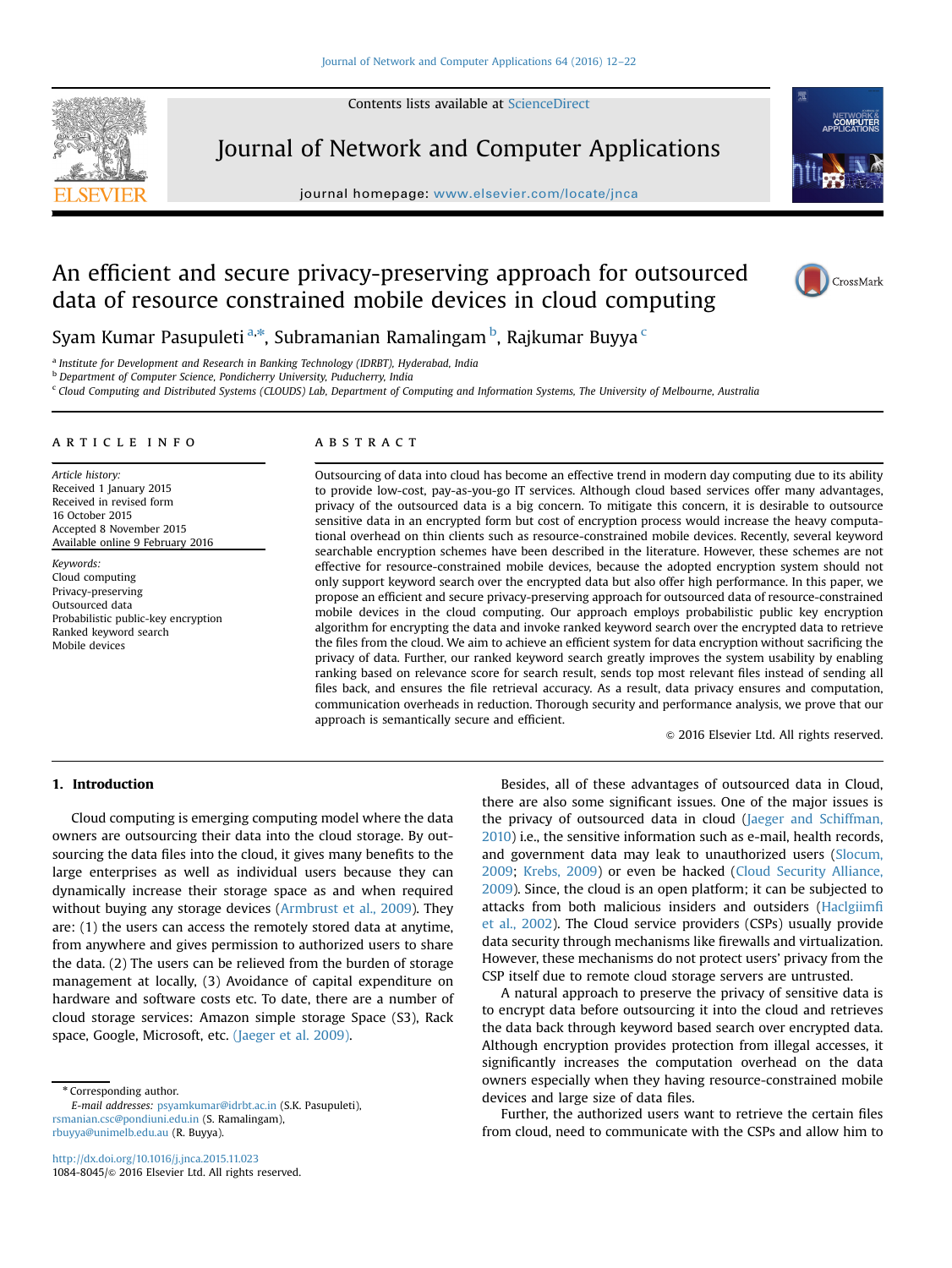Contents lists available at [ScienceDirect](www.sciencedirect.com/science/journal/10848045)



Journal of Network and Computer Applications

journal homepage: <www.elsevier.com/locate/jnca>te/jncate/jncate/jncate/jncate/jncate/jncate/jncate/jncate/jncate/jncate/jncate/jncate/jncate/jncate/jncate/jncate/jncate/jncate/jncate/jncate/jncate/jncate/jncate/jncate/jnca



# An efficient and secure privacy-preserving approach for outsourced data of resource constrained mobile devices in cloud computing



Syam Kumar Pasupuleti<sup>a,\*</sup>, Subramanian Ramalingam <sup>b</sup>, Rajkumar Buyya <sup>c</sup>

<sup>a</sup> Institute for Development and Research in Banking Technology (IDRBT), Hyderabad, India

**b Department of Computer Science, Pondicherry University, Puducherry, India** 

<sup>c</sup> Cloud Computing and Distributed Systems (CLOUDS) Lab, Department of Computing and Information Systems, The University of Melbourne, Australia

#### article info

Article history: Received 1 January 2015 Received in revised form 16 October 2015 Accepted 8 November 2015 Available online 9 February 2016

Keywords: Cloud computing Privacy-preserving Outsourced data Probabilistic public-key encryption Ranked keyword search Mobile devices

### **ABSTRACT**

Outsourcing of data into cloud has become an effective trend in modern day computing due to its ability to provide low-cost, pay-as-you-go IT services. Although cloud based services offer many advantages, privacy of the outsourced data is a big concern. To mitigate this concern, it is desirable to outsource sensitive data in an encrypted form but cost of encryption process would increase the heavy computational overhead on thin clients such as resource-constrained mobile devices. Recently, several keyword searchable encryption schemes have been described in the literature. However, these schemes are not effective for resource-constrained mobile devices, because the adopted encryption system should not only support keyword search over the encrypted data but also offer high performance. In this paper, we propose an efficient and secure privacy-preserving approach for outsourced data of resource-constrained mobile devices in the cloud computing. Our approach employs probabilistic public key encryption algorithm for encrypting the data and invoke ranked keyword search over the encrypted data to retrieve the files from the cloud. We aim to achieve an efficient system for data encryption without sacrificing the privacy of data. Further, our ranked keyword search greatly improves the system usability by enabling ranking based on relevance score for search result, sends top most relevant files instead of sending all files back, and ensures the file retrieval accuracy. As a result, data privacy ensures and computation, communication overheads in reduction. Thorough security and performance analysis, we prove that our approach is semantically secure and efficient.

 $©$  2016 Elsevier Ltd. All rights reserved.

# 1. Introduction

Cloud computing is emerging computing model where the data owners are outsourcing their data into the cloud storage. By outsourcing the data files into the cloud, it gives many benefits to the large enterprises as well as individual users because they can dynamically increase their storage space as and when required without buying any storage devices ([Armbrust et al., 2009\)](#page-10-0). They are: (1) the users can access the remotely stored data at anytime, from anywhere and gives permission to authorized users to share the data. (2) The users can be relieved from the burden of storage management at locally, (3) Avoidance of capital expenditure on hardware and software costs etc. To date, there are a number of cloud storage services: Amazon simple storage Space (S3), Rack space, Google, Microsoft, etc. [\(Jaeger et al. 2009\).](#page-10-0)

\* Corresponding author.

E-mail addresses: [psyamkumar@idrbt.ac.in](mailto:psyamkumar@idrbt.ac.in) (S.K. Pasupuleti), [rsmanian.csc@pondiuni.edu.in](mailto:rsmanian.csc@pondiuni.edu.in) (S. Ramalingam), [rbuyya@unimelb.edu.au](mailto:rbuyya@unimelb.edu.au) (R. Buyya).

Besides, all of these advantages of outsourced data in Cloud, there are also some significant issues. One of the major issues is the privacy of outsourced data in cloud ([Jaeger and Schiffman,](#page-10-0) [2010\)](#page-10-0) i.e., the sensitive information such as e-mail, health records, and government data may leak to unauthorized users [\(Slocum,](#page-10-0) [2009;](#page-10-0) [Krebs, 2009\)](#page-10-0) or even be hacked ([Cloud Security Alliance,](#page-10-0) [2009\)](#page-10-0). Since, the cloud is an open platform; it can be subjected to attacks from both malicious insiders and outsiders [\(Haclgiim](#page-10-0)fi [et al., 2002\)](#page-10-0). The Cloud service providers (CSPs) usually provide data security through mechanisms like firewalls and virtualization. However, these mechanisms do not protect users' privacy from the CSP itself due to remote cloud storage servers are untrusted.

A natural approach to preserve the privacy of sensitive data is to encrypt data before outsourcing it into the cloud and retrieves the data back through keyword based search over encrypted data. Although encryption provides protection from illegal accesses, it significantly increases the computation overhead on the data owners especially when they having resource-constrained mobile devices and large size of data files.

Further, the authorized users want to retrieve the certain files from cloud, need to communicate with the CSPs and allow him to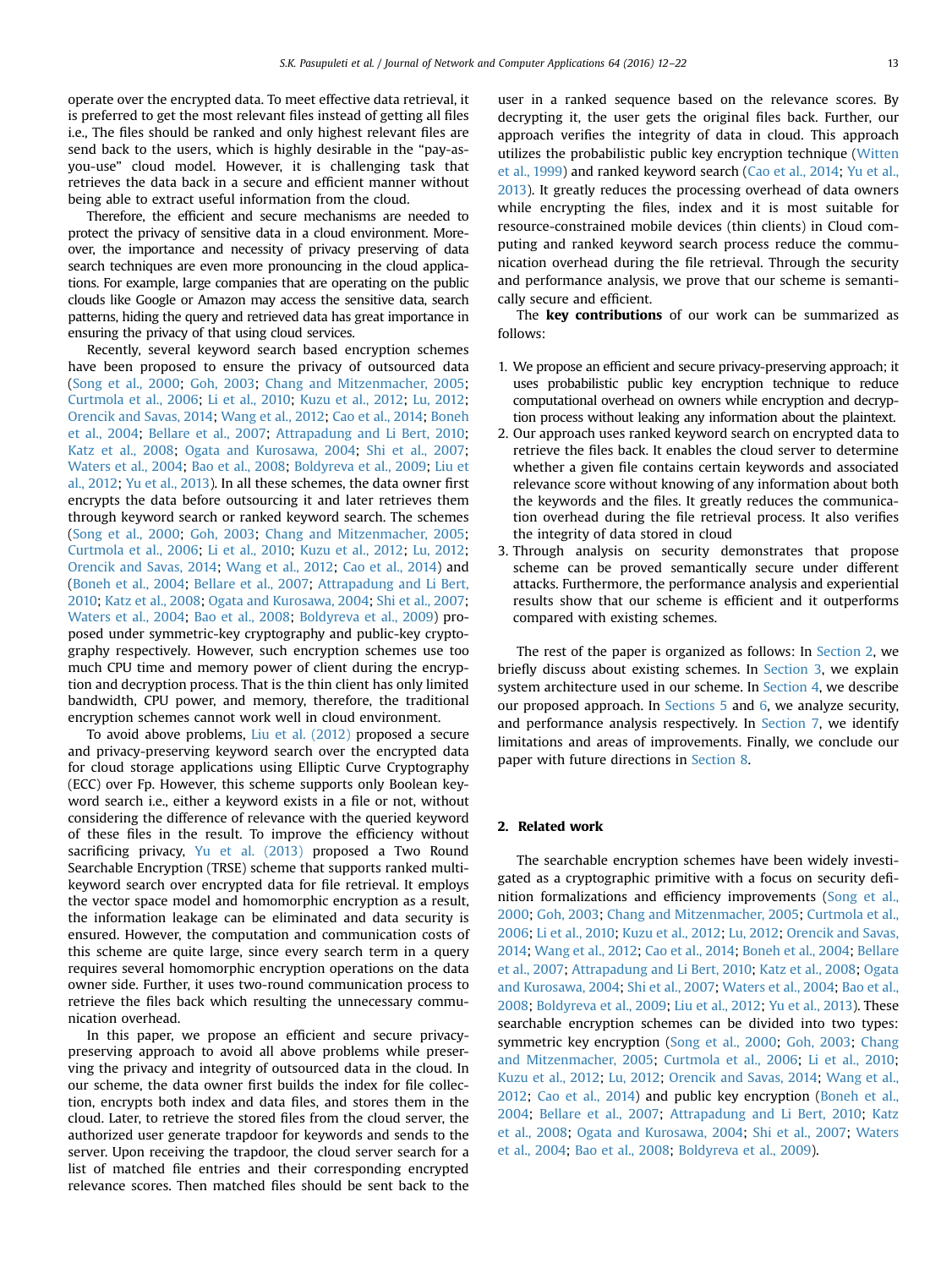operate over the encrypted data. To meet effective data retrieval, it is preferred to get the most relevant files instead of getting all files i.e., The files should be ranked and only highest relevant files are send back to the users, which is highly desirable in the "pay-asyou-use" cloud model. However, it is challenging task that retrieves the data back in a secure and efficient manner without being able to extract useful information from the cloud.

Therefore, the efficient and secure mechanisms are needed to protect the privacy of sensitive data in a cloud environment. Moreover, the importance and necessity of privacy preserving of data search techniques are even more pronouncing in the cloud applications. For example, large companies that are operating on the public clouds like Google or Amazon may access the sensitive data, search patterns, hiding the query and retrieved data has great importance in ensuring the privacy of that using cloud services.

Recently, several keyword search based encryption schemes have been proposed to ensure the privacy of outsourced data ([Song et al., 2000](#page-10-0); [Goh, 2003](#page-10-0); [Chang and Mitzenmacher, 2005;](#page-10-0) [Curtmola et al., 2006](#page-10-0); [Li et al., 2010;](#page-10-0) [Kuzu et al., 2012](#page-10-0); [Lu, 2012;](#page-10-0) [Orencik and Savas, 2014](#page-10-0); [Wang et al., 2012](#page-10-0); [Cao et al., 2014;](#page-10-0) [Boneh](#page-10-0) [et al., 2004;](#page-10-0) [Bellare et al., 2007;](#page-10-0) [Attrapadung and Li Bert, 2010;](#page-10-0) [Katz et al., 2008;](#page-10-0) [Ogata and Kurosawa, 2004](#page-10-0); [Shi et al., 2007;](#page-10-0) [Waters et al., 2004](#page-10-0); [Bao et al., 2008;](#page-10-0) [Boldyreva et al., 2009;](#page-10-0) [Liu et](#page-10-0) [al., 2012;](#page-10-0) [Yu et al., 2013](#page-10-0)). In all these schemes, the data owner first encrypts the data before outsourcing it and later retrieves them through keyword search or ranked keyword search. The schemes ([Song et al., 2000](#page-10-0); [Goh, 2003](#page-10-0); [Chang and Mitzenmacher, 2005;](#page-10-0) [Curtmola et al., 2006](#page-10-0); [Li et al., 2010;](#page-10-0) [Kuzu et al., 2012](#page-10-0); [Lu, 2012;](#page-10-0) [Orencik and Savas, 2014;](#page-10-0) [Wang et al., 2012;](#page-10-0) [Cao et al., 2014](#page-10-0)) and ([Boneh et al., 2004;](#page-10-0) [Bellare et al., 2007](#page-10-0); [Attrapadung and Li Bert,](#page-10-0) [2010;](#page-10-0) [Katz et al., 2008;](#page-10-0) [Ogata and Kurosawa, 2004;](#page-10-0) [Shi et al., 2007;](#page-10-0) [Waters et al., 2004;](#page-10-0) [Bao et al., 2008;](#page-10-0) [Boldyreva et al., 2009](#page-10-0)) proposed under symmetric-key cryptography and public-key cryptography respectively. However, such encryption schemes use too much CPU time and memory power of client during the encryption and decryption process. That is the thin client has only limited bandwidth, CPU power, and memory, therefore, the traditional encryption schemes cannot work well in cloud environment.

To avoid above problems, [Liu et al. \(2012\)](#page-10-0) proposed a secure and privacy-preserving keyword search over the encrypted data for cloud storage applications using Elliptic Curve Cryptography (ECC) over Fp. However, this scheme supports only Boolean keyword search i.e., either a keyword exists in a file or not, without considering the difference of relevance with the queried keyword of these files in the result. To improve the efficiency without sacrificing privacy, [Yu et al. \(2013\)](#page-10-0) proposed a Two Round Searchable Encryption (TRSE) scheme that supports ranked multikeyword search over encrypted data for file retrieval. It employs the vector space model and homomorphic encryption as a result, the information leakage can be eliminated and data security is ensured. However, the computation and communication costs of this scheme are quite large, since every search term in a query requires several homomorphic encryption operations on the data owner side. Further, it uses two-round communication process to retrieve the files back which resulting the unnecessary communication overhead.

In this paper, we propose an efficient and secure privacypreserving approach to avoid all above problems while preserving the privacy and integrity of outsourced data in the cloud. In our scheme, the data owner first builds the index for file collection, encrypts both index and data files, and stores them in the cloud. Later, to retrieve the stored files from the cloud server, the authorized user generate trapdoor for keywords and sends to the server. Upon receiving the trapdoor, the cloud server search for a list of matched file entries and their corresponding encrypted relevance scores. Then matched files should be sent back to the

user in a ranked sequence based on the relevance scores. By decrypting it, the user gets the original files back. Further, our approach verifies the integrity of data in cloud. This approach utilizes the probabilistic public key encryption technique [\(Witten](#page-10-0) [et al., 1999\)](#page-10-0) and ranked keyword search ([Cao et al., 2014;](#page-10-0) [Yu et al.,](#page-10-0) [2013\)](#page-10-0). It greatly reduces the processing overhead of data owners while encrypting the files, index and it is most suitable for resource-constrained mobile devices (thin clients) in Cloud computing and ranked keyword search process reduce the communication overhead during the file retrieval. Through the security and performance analysis, we prove that our scheme is semantically secure and efficient.

The key contributions of our work can be summarized as follows:

- 1. We propose an efficient and secure privacy-preserving approach; it uses probabilistic public key encryption technique to reduce computational overhead on owners while encryption and decryption process without leaking any information about the plaintext.
- 2. Our approach uses ranked keyword search on encrypted data to retrieve the files back. It enables the cloud server to determine whether a given file contains certain keywords and associated relevance score without knowing of any information about both the keywords and the files. It greatly reduces the communication overhead during the file retrieval process. It also verifies the integrity of data stored in cloud
- 3. Through analysis on security demonstrates that propose scheme can be proved semantically secure under different attacks. Furthermore, the performance analysis and experiential results show that our scheme is efficient and it outperforms compared with existing schemes.

The rest of the paper is organized as follows: In Section 2, we briefly discuss about existing schemes. In [Section 3](#page-3-0), we explain system architecture used in our scheme. In [Section 4,](#page-3-0) we describe our proposed approach. In [Sections 5](#page-6-0) and [6](#page-7-0), we analyze security, and performance analysis respectively. In [Section 7,](#page-9-0) we identify limitations and areas of improvements. Finally, we conclude our paper with future directions in [Section 8](#page-9-0).

# 2. Related work

The searchable encryption schemes have been widely investigated as a cryptographic primitive with a focus on security definition formalizations and efficiency improvements ([Song et al.,](#page-10-0) [2000](#page-10-0); [Goh, 2003;](#page-10-0) [Chang and Mitzenmacher, 2005](#page-10-0); [Curtmola et al.,](#page-10-0) [2006;](#page-10-0) [Li et al., 2010;](#page-10-0) [Kuzu et al., 2012](#page-10-0); [Lu, 2012](#page-10-0); [Orencik and Savas,](#page-10-0) [2014;](#page-10-0) [Wang et al., 2012;](#page-10-0) [Cao et al., 2014;](#page-10-0) [Boneh et al., 2004;](#page-10-0) [Bellare](#page-10-0) [et al., 2007;](#page-10-0) [Attrapadung and Li Bert, 2010](#page-10-0); [Katz et al., 2008;](#page-10-0) [Ogata](#page-10-0) [and Kurosawa, 2004;](#page-10-0) [Shi et al., 2007](#page-10-0); [Waters et al., 2004](#page-10-0); [Bao et al.,](#page-10-0) [2008;](#page-10-0) [Boldyreva et al., 2009;](#page-10-0) [Liu et al., 2012](#page-10-0); [Yu et al., 2013\)](#page-10-0). These searchable encryption schemes can be divided into two types: symmetric key encryption ([Song et al., 2000;](#page-10-0) [Goh, 2003;](#page-10-0) [Chang](#page-10-0) [and Mitzenmacher, 2005;](#page-10-0) [Curtmola et al., 2006](#page-10-0); [Li et al., 2010;](#page-10-0) [Kuzu et al., 2012](#page-10-0); [Lu, 2012](#page-10-0); [Orencik and Savas, 2014](#page-10-0); [Wang et al.,](#page-10-0) [2012;](#page-10-0) [Cao et al., 2014](#page-10-0)) and public key encryption [\(Boneh et al.,](#page-10-0) [2004;](#page-10-0) [Bellare et al., 2007](#page-10-0); [Attrapadung and Li Bert, 2010](#page-10-0); [Katz](#page-10-0) [et al., 2008](#page-10-0); [Ogata and Kurosawa, 2004](#page-10-0); [Shi et al., 2007;](#page-10-0) [Waters](#page-10-0) [et al., 2004](#page-10-0); [Bao et al., 2008](#page-10-0); [Boldyreva et al., 2009\)](#page-10-0).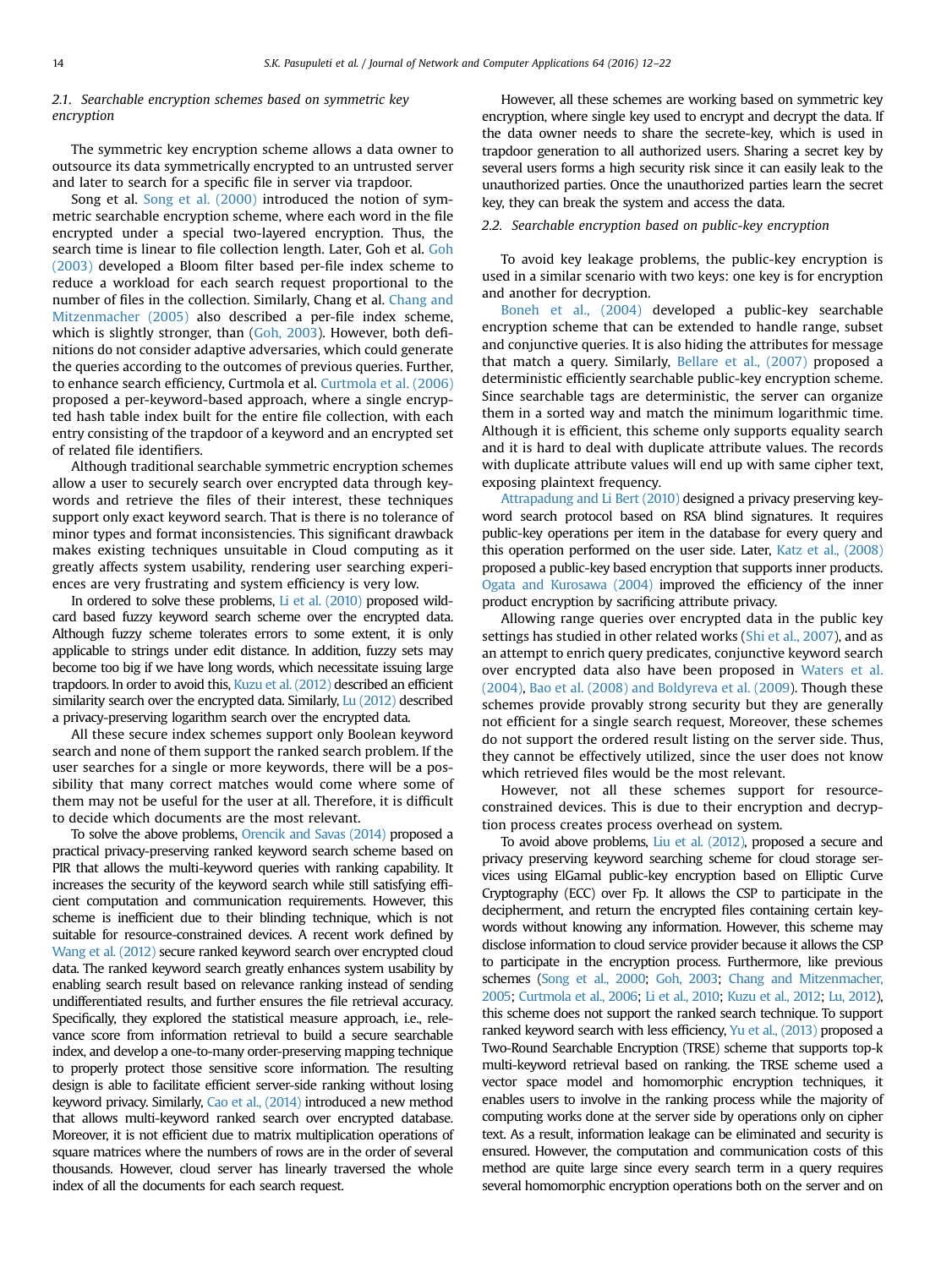# 2.1. Searchable encryption schemes based on symmetric key encryption

The symmetric key encryption scheme allows a data owner to outsource its data symmetrically encrypted to an untrusted server and later to search for a specific file in server via trapdoor.

Song et al. [Song et al. \(2000\)](#page-10-0) introduced the notion of symmetric searchable encryption scheme, where each word in the file encrypted under a special two-layered encryption. Thus, the search time is linear to file collection length. Later, Goh et al. [Goh](#page-10-0) [\(2003\)](#page-10-0) developed a Bloom filter based per-file index scheme to reduce a workload for each search request proportional to the number of files in the collection. Similarly, Chang et al. [Chang and](#page-10-0) [Mitzenmacher \(2005\)](#page-10-0) also described a per-file index scheme, which is slightly stronger, than [\(Goh, 2003\)](#page-10-0). However, both definitions do not consider adaptive adversaries, which could generate the queries according to the outcomes of previous queries. Further, to enhance search efficiency, Curtmola et al. [Curtmola et al. \(2006\)](#page-10-0) proposed a per-keyword-based approach, where a single encrypted hash table index built for the entire file collection, with each entry consisting of the trapdoor of a keyword and an encrypted set of related file identifiers.

Although traditional searchable symmetric encryption schemes allow a user to securely search over encrypted data through keywords and retrieve the files of their interest, these techniques support only exact keyword search. That is there is no tolerance of minor types and format inconsistencies. This significant drawback makes existing techniques unsuitable in Cloud computing as it greatly affects system usability, rendering user searching experiences are very frustrating and system efficiency is very low.

In ordered to solve these problems, [Li et al. \(2010\)](#page-10-0) proposed wildcard based fuzzy keyword search scheme over the encrypted data. Although fuzzy scheme tolerates errors to some extent, it is only applicable to strings under edit distance. In addition, fuzzy sets may become too big if we have long words, which necessitate issuing large trapdoors. In order to avoid this, [Kuzu et al. \(2012\)](#page-10-0) described an efficient similarity search over the encrypted data. Similarly, [Lu \(2012\)](#page-10-0) described a privacy-preserving logarithm search over the encrypted data.

All these secure index schemes support only Boolean keyword search and none of them support the ranked search problem. If the user searches for a single or more keywords, there will be a possibility that many correct matches would come where some of them may not be useful for the user at all. Therefore, it is difficult to decide which documents are the most relevant.

To solve the above problems, [Orencik and Savas \(2014\)](#page-10-0) proposed a practical privacy-preserving ranked keyword search scheme based on PIR that allows the multi-keyword queries with ranking capability. It increases the security of the keyword search while still satisfying efficient computation and communication requirements. However, this scheme is inefficient due to their blinding technique, which is not suitable for resource-constrained devices. A recent work defined by [Wang et al. \(2012\)](#page-10-0) secure ranked keyword search over encrypted cloud data. The ranked keyword search greatly enhances system usability by enabling search result based on relevance ranking instead of sending undifferentiated results, and further ensures the file retrieval accuracy. Specifically, they explored the statistical measure approach, i.e., relevance score from information retrieval to build a secure searchable index, and develop a one-to-many order-preserving mapping technique to properly protect those sensitive score information. The resulting design is able to facilitate efficient server-side ranking without losing keyword privacy. Similarly, [Cao et al., \(2014\)](#page-10-0) introduced a new method that allows multi-keyword ranked search over encrypted database. Moreover, it is not efficient due to matrix multiplication operations of square matrices where the numbers of rows are in the order of several thousands. However, cloud server has linearly traversed the whole index of all the documents for each search request.

However, all these schemes are working based on symmetric key encryption, where single key used to encrypt and decrypt the data. If the data owner needs to share the secrete-key, which is used in trapdoor generation to all authorized users. Sharing a secret key by several users forms a high security risk since it can easily leak to the unauthorized parties. Once the unauthorized parties learn the secret key, they can break the system and access the data.

### 2.2. Searchable encryption based on public-key encryption

To avoid key leakage problems, the public-key encryption is used in a similar scenario with two keys: one key is for encryption and another for decryption.

[Boneh et al., \(2004\)](#page-10-0) developed a public-key searchable encryption scheme that can be extended to handle range, subset and conjunctive queries. It is also hiding the attributes for message that match a query. Similarly, [Bellare et al., \(2007\)](#page-10-0) proposed a deterministic efficiently searchable public-key encryption scheme. Since searchable tags are deterministic, the server can organize them in a sorted way and match the minimum logarithmic time. Although it is efficient, this scheme only supports equality search and it is hard to deal with duplicate attribute values. The records with duplicate attribute values will end up with same cipher text, exposing plaintext frequency.

[Attrapadung and Li Bert \(2010\)](#page-10-0) designed a privacy preserving keyword search protocol based on RSA blind signatures. It requires public-key operations per item in the database for every query and this operation performed on the user side. Later, [Katz et al., \(2008\)](#page-10-0) proposed a public-key based encryption that supports inner products. [Ogata and Kurosawa \(2004\)](#page-10-0) improved the efficiency of the inner product encryption by sacrificing attribute privacy.

Allowing range queries over encrypted data in the public key settings has studied in other related works ([Shi et al., 2007\)](#page-10-0), and as an attempt to enrich query predicates, conjunctive keyword search over encrypted data also have been proposed in [Waters et al.](#page-10-0) [\(2004\)](#page-10-0), [Bao et al. \(2008\) and Boldyreva et al. \(2009](#page-10-0)). Though these schemes provide provably strong security but they are generally not efficient for a single search request, Moreover, these schemes do not support the ordered result listing on the server side. Thus, they cannot be effectively utilized, since the user does not know which retrieved files would be the most relevant.

However, not all these schemes support for resourceconstrained devices. This is due to their encryption and decryption process creates process overhead on system.

To avoid above problems, [Liu et al. \(2012\),](#page-10-0) proposed a secure and privacy preserving keyword searching scheme for cloud storage services using ElGamal public-key encryption based on Elliptic Curve Cryptography (ECC) over Fp. It allows the CSP to participate in the decipherment, and return the encrypted files containing certain keywords without knowing any information. However, this scheme may disclose information to cloud service provider because it allows the CSP to participate in the encryption process. Furthermore, like previous schemes [\(Song et al., 2000;](#page-10-0) [Goh, 2003](#page-10-0); [Chang and Mitzenmacher,](#page-10-0) [2005;](#page-10-0) [Curtmola et al., 2006;](#page-10-0) [Li et al., 2010](#page-10-0); [Kuzu et al., 2012;](#page-10-0) [Lu, 2012](#page-10-0)), this scheme does not support the ranked search technique. To support ranked keyword search with less efficiency, [Yu et al., \(2013\)](#page-10-0) proposed a Two-Round Searchable Encryption (TRSE) scheme that supports top-k multi-keyword retrieval based on ranking. the TRSE scheme used a vector space model and homomorphic encryption techniques, it enables users to involve in the ranking process while the majority of computing works done at the server side by operations only on cipher text. As a result, information leakage can be eliminated and security is ensured. However, the computation and communication costs of this method are quite large since every search term in a query requires several homomorphic encryption operations both on the server and on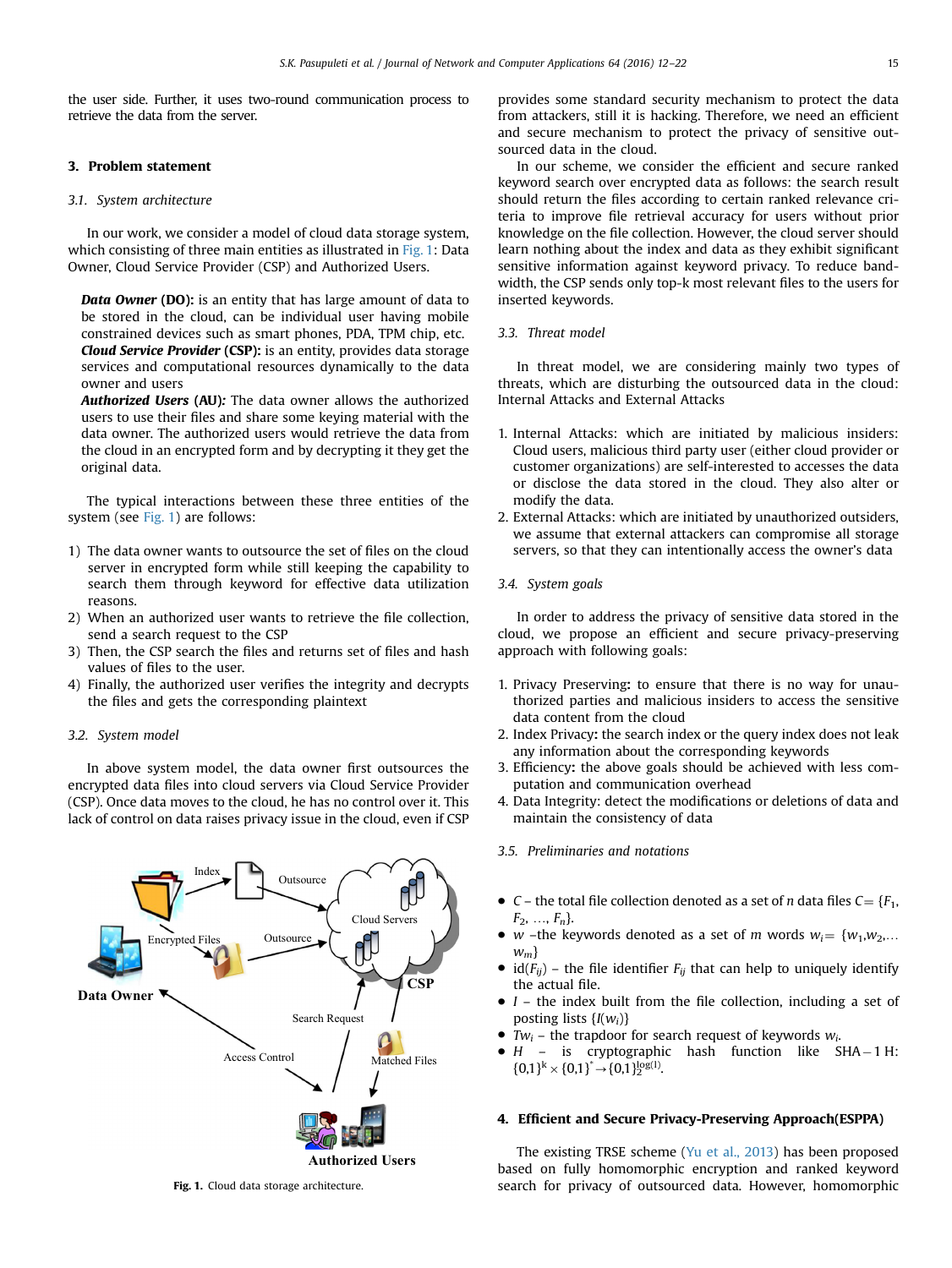<span id="page-3-0"></span>the user side. Further, it uses two-round communication process to retrieve the data from the server.

# 3. Problem statement

# 3.1. System architecture

In our work, we consider a model of cloud data storage system, which consisting of three main entities as illustrated in Fig. 1: Data Owner, Cloud Service Provider (CSP) and Authorized Users.

**Data Owner (DO):** is an entity that has large amount of data to be stored in the cloud, can be individual user having mobile constrained devices such as smart phones, PDA, TPM chip, etc. Cloud Service Provider (CSP): is an entity, provides data storage services and computational resources dynamically to the data owner and users

Authorized Users (AU): The data owner allows the authorized users to use their files and share some keying material with the data owner. The authorized users would retrieve the data from the cloud in an encrypted form and by decrypting it they get the original data.

The typical interactions between these three entities of the system (see Fig. 1) are follows:

- 1) The data owner wants to outsource the set of files on the cloud server in encrypted form while still keeping the capability to search them through keyword for effective data utilization reasons.
- 2) When an authorized user wants to retrieve the file collection, send a search request to the CSP
- 3) Then, the CSP search the files and returns set of files and hash values of files to the user.
- 4) Finally, the authorized user verifies the integrity and decrypts the files and gets the corresponding plaintext

# 3.2. System model

In above system model, the data owner first outsources the encrypted data files into cloud servers via Cloud Service Provider (CSP). Once data moves to the cloud, he has no control over it. This lack of control on data raises privacy issue in the cloud, even if CSP



Fig. 1. Cloud data storage architecture.

provides some standard security mechanism to protect the data from attackers, still it is hacking. Therefore, we need an efficient and secure mechanism to protect the privacy of sensitive outsourced data in the cloud.

In our scheme, we consider the efficient and secure ranked keyword search over encrypted data as follows: the search result should return the files according to certain ranked relevance criteria to improve file retrieval accuracy for users without prior knowledge on the file collection. However, the cloud server should learn nothing about the index and data as they exhibit significant sensitive information against keyword privacy. To reduce bandwidth, the CSP sends only top-k most relevant files to the users for inserted keywords.

### 3.3. Threat model

In threat model, we are considering mainly two types of threats, which are disturbing the outsourced data in the cloud: Internal Attacks and External Attacks

- 1. Internal Attacks: which are initiated by malicious insiders: Cloud users, malicious third party user (either cloud provider or customer organizations) are self-interested to accesses the data or disclose the data stored in the cloud. They also alter or modify the data.
- 2. External Attacks: which are initiated by unauthorized outsiders, we assume that external attackers can compromise all storage servers, so that they can intentionally access the owner's data

# 3.4. System goals

In order to address the privacy of sensitive data stored in the cloud, we propose an efficient and secure privacy-preserving approach with following goals:

- 1. Privacy Preserving: to ensure that there is no way for unauthorized parties and malicious insiders to access the sensitive data content from the cloud
- 2. Index Privacy: the search index or the query index does not leak any information about the corresponding keywords
- 3. Efficiency: the above goals should be achieved with less computation and communication overhead
- 4. Data Integrity: detect the modifications or deletions of data and maintain the consistency of data
- 3.5. Preliminaries and notations
- C the total file collection denoted as a set of *n* data files  $C = \{F_1,$  $F_2, \ldots, F_n$ .
- w –the keywords denoted as a set of m words  $w_i = \{w_1, w_2, \ldots\}$  $w_m$ }
- id( $F_{ij}$ ) the file identifier  $F_{ij}$  that can help to uniquely identify the actual file.
- $\bullet$  I the index built from the file collection, including a set of posting lists  $\{I(w_i)\}$
- Tw<sub>i</sub> the trapdoor for search request of keywords  $w_i$ .
- $\bullet$  H is cryptographic hash function like SHA-1 H:  ${0,1}^k \times {0,1}^* \rightarrow {0,1}^{\log(1)}$ .

### 4. Efficient and Secure Privacy-Preserving Approach(ESPPA)

The existing TRSE scheme [\(Yu et al., 2013](#page-10-0)) has been proposed based on fully homomorphic encryption and ranked keyword search for privacy of outsourced data. However, homomorphic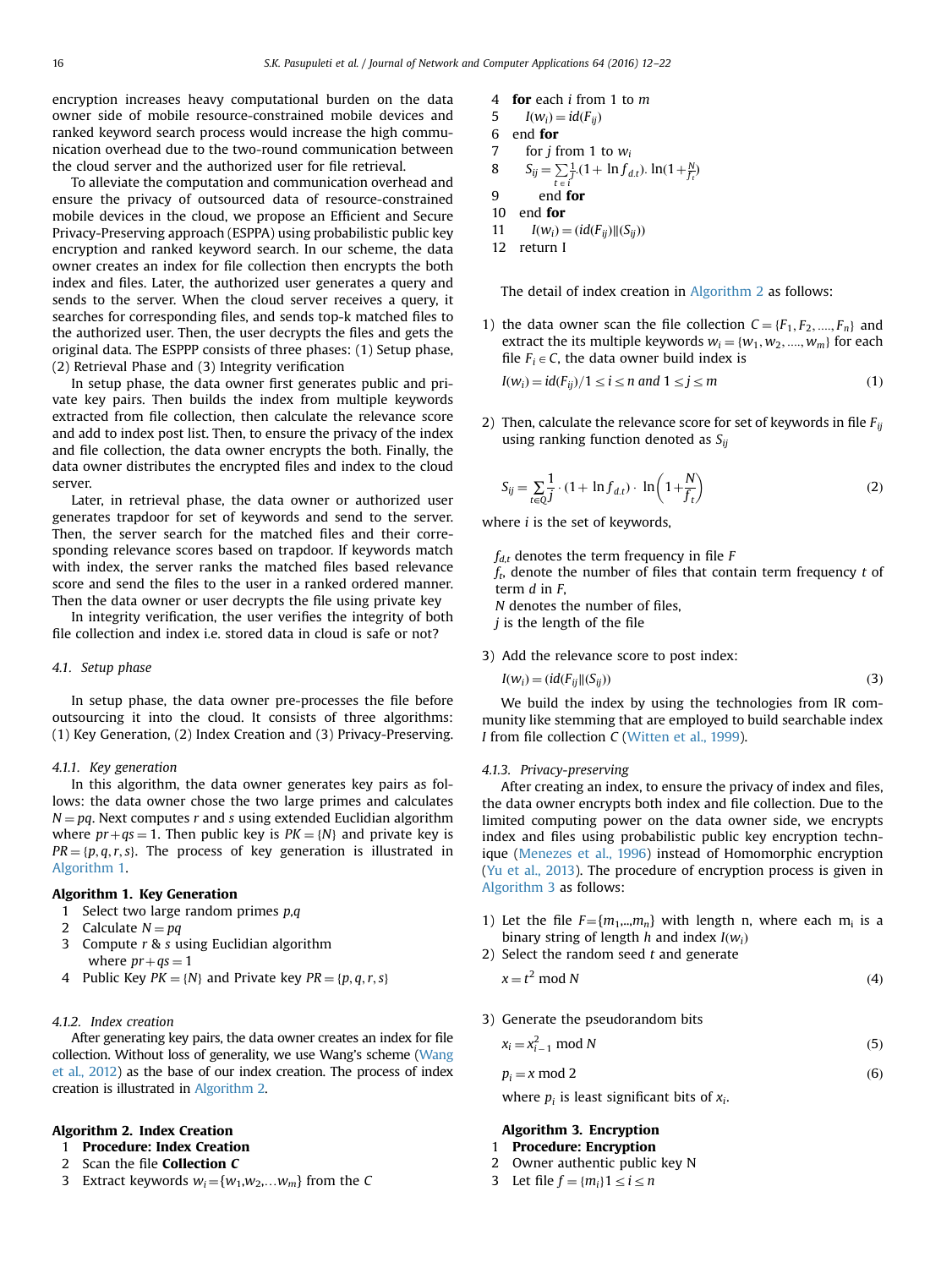encryption increases heavy computational burden on the data owner side of mobile resource-constrained mobile devices and ranked keyword search process would increase the high communication overhead due to the two-round communication between the cloud server and the authorized user for file retrieval.

To alleviate the computation and communication overhead and ensure the privacy of outsourced data of resource-constrained mobile devices in the cloud, we propose an Efficient and Secure Privacy-Preserving approach (ESPPA) using probabilistic public key encryption and ranked keyword search. In our scheme, the data owner creates an index for file collection then encrypts the both index and files. Later, the authorized user generates a query and sends to the server. When the cloud server receives a query, it searches for corresponding files, and sends top-k matched files to the authorized user. Then, the user decrypts the files and gets the original data. The ESPPP consists of three phases: (1) Setup phase, (2) Retrieval Phase and (3) Integrity verification

In setup phase, the data owner first generates public and private key pairs. Then builds the index from multiple keywords extracted from file collection, then calculate the relevance score and add to index post list. Then, to ensure the privacy of the index and file collection, the data owner encrypts the both. Finally, the data owner distributes the encrypted files and index to the cloud server.

Later, in retrieval phase, the data owner or authorized user generates trapdoor for set of keywords and send to the server. Then, the server search for the matched files and their corresponding relevance scores based on trapdoor. If keywords match with index, the server ranks the matched files based relevance score and send the files to the user in a ranked ordered manner. Then the data owner or user decrypts the file using private key

In integrity verification, the user verifies the integrity of both file collection and index i.e. stored data in cloud is safe or not?

# 4.1. Setup phase

In setup phase, the data owner pre-processes the file before outsourcing it into the cloud. It consists of three algorithms: (1) Key Generation, (2) Index Creation and (3) Privacy-Preserving.

#### 4.1.1. Key generation

In this algorithm, the data owner generates key pairs as follows: the data owner chose the two large primes and calculates  $N = pq$ . Next computes r and s using extended Euclidian algorithm where  $pr+qs = 1$ . Then public key is  $PK = \{N\}$  and private key is  $PR = \{p, q, r, s\}$ . The process of key generation is illustrated in Algorithm 1.

## Algorithm 1. Key Generation

- 1 Select two large random primes p,q
- 2 Calculate  $N = pq$ <br>3 Compute  $r \& s$  u
- Compute  $r$  & s using Euclidian algorithm where  $pr+qs = 1$
- 4 Public Key  $PK = \{N\}$  and Private key  $PR = \{p, q, r, s\}$

# 4.1.2. Index creation

After generating key pairs, the data owner creates an index for file collection. Without loss of generality, we use Wang's scheme [\(Wang](#page-10-0) [et al., 2012](#page-10-0)) as the base of our index creation. The process of index creation is illustrated in Algorithm 2.

# Algorithm 2. Index Creation

- 1 Procedure: Index Creation
- 2 Scan the file Collection C
- 3 Extract keywords  $w_i = \{w_1, w_2, \ldots w_m\}$  from the C
- 4 for each i from 1 to m
- 5  $I(w_i) = id(F_{ij})$ <br>6 end **for** end **for**
- 7 for *j* from 1 to  $w_i$
- 8  $S_{ij} = \sum_{t \in i}$  $\frac{1}{j}(1 + \ln f_{d,t})$ .  $\ln(1 + \frac{N}{f_t})$
- 9 end for
- 10 end for
- 11  $I(w_i) = (id(F_{ii})||(S_{ii}))$
- 12 return I

The detail of index creation in Algorithm 2 as follows:

1) the data owner scan the file collection  $C = \{F_1, F_2, ..., F_n\}$  and extract the its multiple keywords  $w_i = \{w_1, w_2, ..., w_m\}$  for each file  $F_i \in C$ , the data owner build index is

$$
I(w_i) = id(F_{ij})/1 \le i \le n \text{ and } 1 \le j \le m
$$
\n<sup>(1)</sup>

2) Then, calculate the relevance score for set of keywords in file  $F_{ij}$ using ranking function denoted as  $S_{ij}$ 

$$
S_{ij} = \sum_{t \in Q} \frac{1}{j} \cdot (1 + \ln f_{d,t}) \cdot \ln \left( 1 + \frac{N}{f_t} \right) \tag{2}
$$

where  $i$  is the set of keywords,

 $f_{d,t}$  denotes the term frequency in file F  $f_t$ , denote the number of files that contain term frequency t of term  $d$  in  $F$ N denotes the number of files,  $j$  is the length of the file

3) Add the relevance score to post index:

$$
I(w_i) = (id(F_{ij} \parallel (S_{ij}))
$$
\n(3)

We build the index by using the technologies from IR community like stemming that are employed to build searchable index I from file collection C ([Witten et al., 1999\)](#page-10-0).

### 4.1.3. Privacy-preserving

After creating an index, to ensure the privacy of index and files, the data owner encrypts both index and file collection. Due to the limited computing power on the data owner side, we encrypts index and files using probabilistic public key encryption technique ([Menezes et al., 1996\)](#page-10-0) instead of Homomorphic encryption ([Yu et al., 2013\)](#page-10-0). The procedure of encryption process is given in Algorithm 3 as follows:

- 1) Let the file  $F = \{m_1,...,m_n\}$  with length n, where each m<sub>i</sub> is a binary string of length h and index  $I(w_i)$
- 2) Select the random seed  $t$  and generate

$$
x = t^2 \mod N \tag{4}
$$

3) Generate the pseudorandom bits

$$
x_i = x_{i-1}^2 \text{ mod } N \tag{5}
$$

 $p_i = x \mod 2$  (6)

where  $p_i$  is least significant bits of  $x_i$ .

# Algorithm 3. Encryption

- 1 Procedure: Encryption
- 2 Owner authentic public key N
- 3 Let file  $f = \{m_i\}$ 1  $\le i \le n$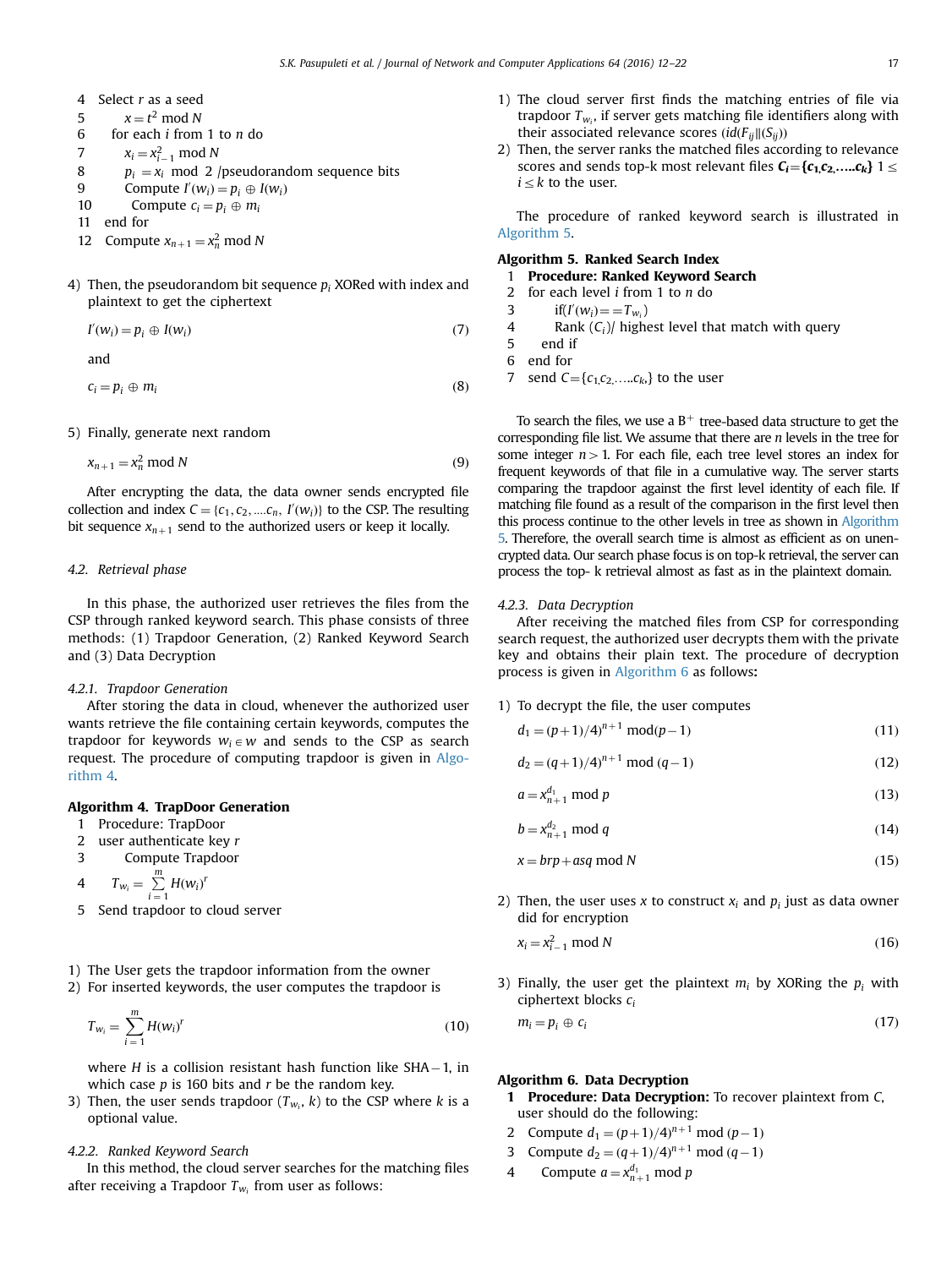4 Select r as a seed

 $x = t^2 \mod N$ 

5  $x = t^2 \mod N$ <br>6 for each *i* from 1 to *n* do

$$
7 \t x_i = x_{i-1}^2 \mod N
$$

- 8  $p_i = x_i \mod 2$  /pseudorandom sequence bits<br>9  $G$  compute  $I'(w_i) = n \otimes I(w_i)$
- 9 Compute  $I'(w_i) = p_i \oplus I(w_i)$ <br>10 Compute  $c_i = p_i \oplus m_i$
- 10 Compute  $c_i = p_i \oplus m_i$
- 11 end for
- 12 Compute  $x_{n+1} = x_n^2 \text{ mod } N$
- 4) Then, the pseudorandom bit sequence  $p_i$  XORed with index and plaintext to get the ciphertext

 $I'(w_i) = p_i \oplus I(w_i)$  (7)

and

 $c_i = p_i \oplus m_i$  (8)

5) Finally, generate next random

$$
x_{n+1} = x_n^2 \bmod N \tag{9}
$$

After encrypting the data, the data owner sends encrypted file collection and index  $C = \{c_1, c_2, \dots, c_n, I'(w_i)\}\$  to the CSP. The resulting<br>bit sequence  $x_i$  and to the authorized users or keep it locally. bit sequence  $x_{n+1}$  send to the authorized users or keep it locally.

## 4.2. Retrieval phase

In this phase, the authorized user retrieves the files from the CSP through ranked keyword search. This phase consists of three methods: (1) Trapdoor Generation, (2) Ranked Keyword Search and (3) Data Decryption

### 4.2.1. Trapdoor Generation

After storing the data in cloud, whenever the authorized user wants retrieve the file containing certain keywords, computes the trapdoor for keywords  $w_i \in W$  and sends to the CSP as search request. The procedure of computing trapdoor is given in Algorithm 4.

# Algorithm 4. TrapDoor Generation

- 1 Procedure: TrapDoor
- 2 user authenticate key r
- 3 Compute Trapdoor

4  $T_{w_i} = \sum_{i=1}^{m} H(w_i)^t$ 

- 5 Send trapdoor to cloud server
- 1) The User gets the trapdoor information from the owner
- 2) For inserted keywords, the user computes the trapdoor is

$$
T_{w_i} = \sum_{i=1}^{m} H(w_i)^r
$$
\n(10)

where  $H$  is a collision resistant hash function like SHA $-1$ , in which case  $p$  is 160 bits and  $r$  be the random key.

3) Then, the user sends trapdoor  $(T_{w_i},\,k)$  to the CSP where  $k$  is a optional value.

# 4.2.2. Ranked Keyword Search

In this method, the cloud server searches for the matching files after receiving a Trapdoor  $T_{w_i}$  from user as follows:

- 1) The cloud server first finds the matching entries of file via trapdoor  $T_{w_i}$ , if server gets matching file identifiers along with their associated relevance scores  $(id(F_{ii}||(S_{ii}))$
- 2) Then, the server ranks the matched files according to relevance scores and sends top-k most relevant files  $C_i = {c_1,c_2,...,c_k}$  1  $\leq$  $i \leq k$  to the user.

The procedure of ranked keyword search is illustrated in Algorithm 5.

# Algorithm 5. Ranked Search Index

# 1 Procedure: Ranked Keyword Search

- 2 for each level  $i$  from 1 to  $n$  do
- 3 if( $I'(w_i) = T_{w_i}$ )
- 4 Rank  $(C_i)$  highest level that match with query<br>5 end if
- 5 end if
- 6 end for
- 7 send  $C = \{c_1, c_2, \ldots, c_k\}$  to the user

To search the files, we use a  $B^+$  tree-based data structure to get the corresponding file list. We assume that there are  $n$  levels in the tree for some integer  $n>1$ . For each file, each tree level stores an index for frequent keywords of that file in a cumulative way. The server starts comparing the trapdoor against the first level identity of each file. If matching file found as a result of the comparison in the first level then this process continue to the other levels in tree as shown in Algorithm 5. Therefore, the overall search time is almost as efficient as on unencrypted data. Our search phase focus is on top-k retrieval, the server can process the top- k retrieval almost as fast as in the plaintext domain.

# 4.2.3. Data Decryption

After receiving the matched files from CSP for corresponding search request, the authorized user decrypts them with the private key and obtains their plain text. The procedure of decryption process is given in Algorithm 6 as follows:

# 1) To decrypt the file, the user computes

$$
d_1 = (p+1)/4)^{n+1} \mod (p-1)
$$
 (11)

$$
d_2 = (q+1)/4^{n+1} \mod (q-1) \tag{12}
$$

$$
a = x_{n+1}^{d_1} \bmod p \tag{13}
$$

$$
b = x_{n+1}^{d_2} \mod q \tag{14}
$$

- $x = brp + asq \mod N$  (15)
- 2) Then, the user uses x to construct  $x_i$  and  $p_i$  just as data owner did for encryption

$$
x_i = x_{i-1}^2 \mod N \tag{16}
$$

3) Finally, the user get the plaintext  $m_i$  by XORing the  $p_i$  with ciphertext blocks  $c_i$ 

$$
m_i = p_i \oplus c_i \tag{17}
$$

### Algorithm 6. Data Decryption

1 Procedure: Data Decryption: To recover plaintext from C, user should do the following:

- 2 Compute  $d_1 = (p+1)/4)^{n+1} \mod (p-1)$
- 3 Compute  $d_2 = (q+1)/4)^{n+1} \text{ mod } (q-1)$
- 4 Compute  $a = x_{n+1}^{d_1} \mod p$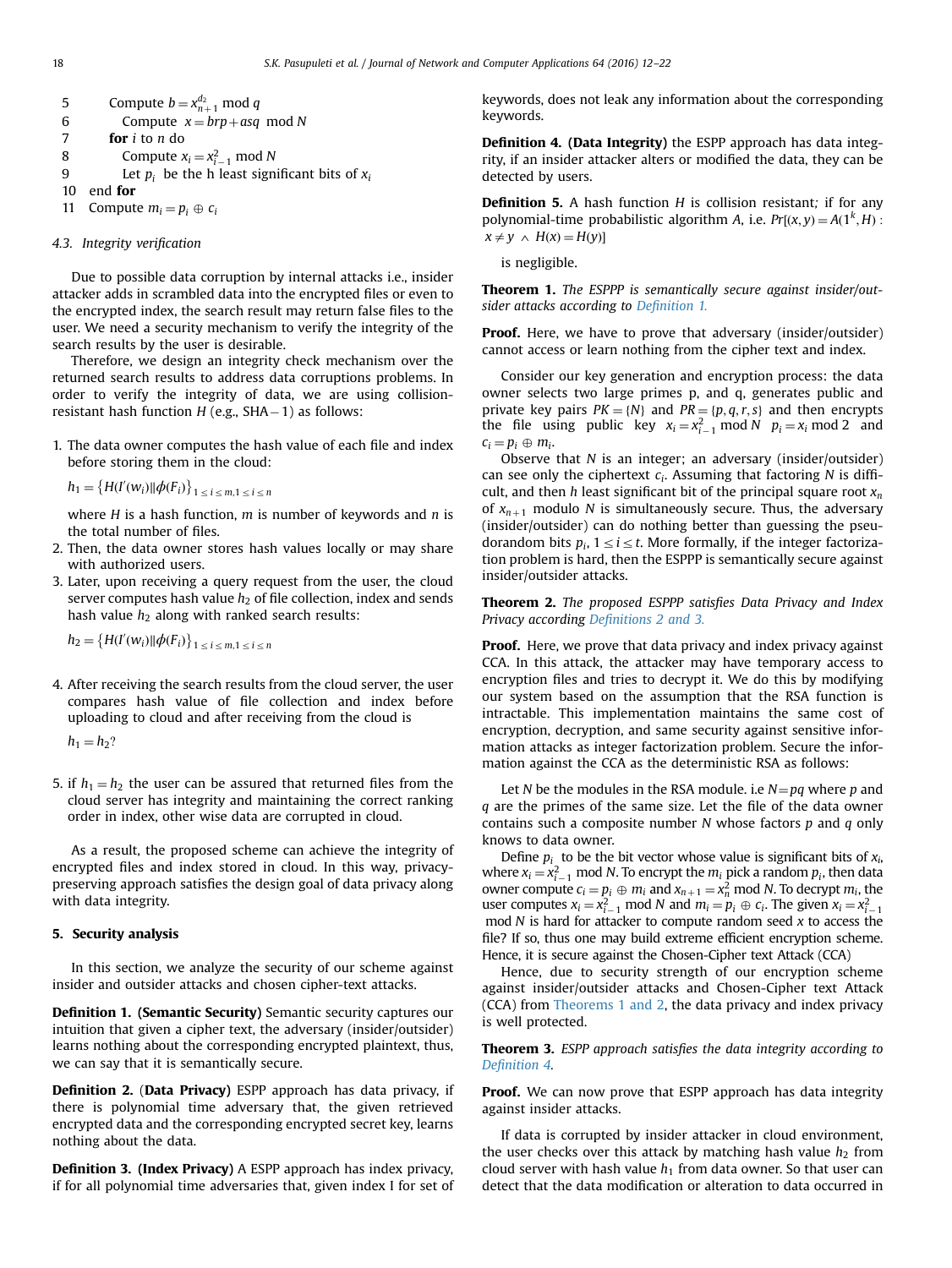5 Compute  $b = x_{n+1}^{d_2} \mod q$ 6 Compute  $x = brp + asq \mod N$ <br>7 **for** *i* to *n* do for  $i$  to  $n$  do 8 Compute  $x_i = x_{i-1}^2 \mod N$ 9 Let  $p_i$  be the h least significant bits of  $x_i$ 10 end for 11 Compute  $m_i = p_i \oplus c_i$ 

### 4.3. Integrity verification

Due to possible data corruption by internal attacks i.e., insider attacker adds in scrambled data into the encrypted files or even to the encrypted index, the search result may return false files to the user. We need a security mechanism to verify the integrity of the search results by the user is desirable.

Therefore, we design an integrity check mechanism over the returned search results to address data corruptions problems. In order to verify the integrity of data, we are using collisionresistant hash function  $H$  (e.g., SHA $-1$ ) as follows:

1. The data owner computes the hash value of each file and index before storing them in the cloud:

 $h_1 = \{H(I'(w_i) || \phi(F_i)\}_{1 \le i \le m, 1 \le i \le n}$ 

where  $H$  is a hash function,  $m$  is number of keywords and  $n$  is the total number of files.

- 2. Then, the data owner stores hash values locally or may share with authorized users.
- 3. Later, upon receiving a query request from the user, the cloud server computes hash value  $h_2$  of file collection, index and sends hash value  $h_2$  along with ranked search results:

 $h_2 = \{H(I'(w_i) || \phi(F_i)\}_{1 \le i \le m, 1 \le i \le n}$ 

4. After receiving the search results from the cloud server, the user compares hash value of file collection and index before uploading to cloud and after receiving from the cloud is

```
h_1 = h_2?
```
5. if  $h_1 = h_2$  the user can be assured that returned files from the cloud server has integrity and maintaining the correct ranking order in index, other wise data are corrupted in cloud.

As a result, the proposed scheme can achieve the integrity of encrypted files and index stored in cloud. In this way, privacypreserving approach satisfies the design goal of data privacy along with data integrity.

# 5. Security analysis

In this section, we analyze the security of our scheme against insider and outsider attacks and chosen cipher-text attacks.

Definition 1. (Semantic Security) Semantic security captures our intuition that given a cipher text, the adversary (insider/outsider) learns nothing about the corresponding encrypted plaintext, thus, we can say that it is semantically secure.

Definition 2. (Data Privacy) ESPP approach has data privacy, if there is polynomial time adversary that, the given retrieved encrypted data and the corresponding encrypted secret key, learns nothing about the data.

Definition 3. (Index Privacy) A ESPP approach has index privacy, if for all polynomial time adversaries that, given index I for set of keywords, does not leak any information about the corresponding keywords.

Definition 4. (Data Integrity) the ESPP approach has data integrity, if an insider attacker alters or modified the data, they can be detected by users.

**Definition 5.** A hash function  $H$  is collision resistant; if for any polynomial-time probabilistic algorithm A, i.e.  $Pr[(x, y) = A(1^k, H) : x \neq y$ ,  $H(x) = H(y)$  $x \neq y \land H(x) = H(y)$ 

is negligible.

Theorem 1. The ESPPP is semantically secure against insider/outsider attacks according to Definition 1.

Proof. Here, we have to prove that adversary (insider/outsider) cannot access or learn nothing from the cipher text and index.

Consider our key generation and encryption process: the data owner selects two large primes p, and q, generates public and private key pairs  $PK = \{N\}$  and  $PR = \{p, q, r, s\}$  and then encrypts the file using public key  $x_i = x_{i-1}^2 \mod N$   $p_i = x_i \mod 2$  and  $c_i = p_i \oplus m_i$ .

Observe that  $N$  is an integer; an adversary (insider/outsider) can see only the ciphertext  $c_i$ . Assuming that factoring N is difficult, and then h least significant bit of the principal square root  $x_n$ of  $x_{n+1}$  modulo N is simultaneously secure. Thus, the adversary (insider/outsider) can do nothing better than guessing the pseudorandom bits  $p_i$ ,  $1 \le i \le t$ . More formally, if the integer factorization problem is hard, then the ESPPP is semantically secure against insider/outsider attacks.

Theorem 2. The proposed ESPPP satisfies Data Privacy and Index Privacy according Definitions 2 and 3.

**Proof.** Here, we prove that data privacy and index privacy against CCA. In this attack, the attacker may have temporary access to encryption files and tries to decrypt it. We do this by modifying our system based on the assumption that the RSA function is intractable. This implementation maintains the same cost of encryption, decryption, and same security against sensitive information attacks as integer factorization problem. Secure the information against the CCA as the deterministic RSA as follows:

Let N be the modules in the RSA module. i.e  $N=pq$  where p and q are the primes of the same size. Let the file of the data owner contains such a composite number  $N$  whose factors  $p$  and  $q$  only knows to data owner.

Define  $p_i$  to be the bit vector whose value is significant bits of  $x_i$ , where  $x_i = x_{i-1}^2 \mod N$ . To encrypt the  $m_i$  pick a random  $p_i$ , then data owner compute  $c_i = n_i \oplus m_j$  and  $x_i = x_i^2 \mod N$ . To decrypt  $m_i$ , the owner compute  $c_i = p_i \oplus m_i$  and  $x_{n+1} = x_n^2 \mod N$ . To decrypt  $m_i$ , the user computes  $x_i - x_i^2 \mod N$  and  $m_i - n_i \oplus c_i$ . The given  $x_i - x_i^2$ user computes  $x_i = x_{i-1}^2 \mod N$  and  $m_i = p_i \oplus c_i$ . The given  $x_i = x_{i-1}^2 \mod N$  is bard for attacker to compute random seed x to access the mod  $N$  is hard for attacker to compute random seed  $x$  to access the file? If so, thus one may build extreme efficient encryption scheme. Hence, it is secure against the Chosen-Cipher text Attack (CCA)

Hence, due to security strength of our encryption scheme against insider/outsider attacks and Chosen-Cipher text Attack (CCA) from Theorems 1 and 2, the data privacy and index privacy is well protected.

Theorem 3. ESPP approach satisfies the data integrity according to Definition 4.

Proof. We can now prove that ESPP approach has data integrity against insider attacks.

If data is corrupted by insider attacker in cloud environment, the user checks over this attack by matching hash value  $h_2$  from cloud server with hash value  $h_1$  from data owner. So that user can detect that the data modification or alteration to data occurred in

<span id="page-6-0"></span>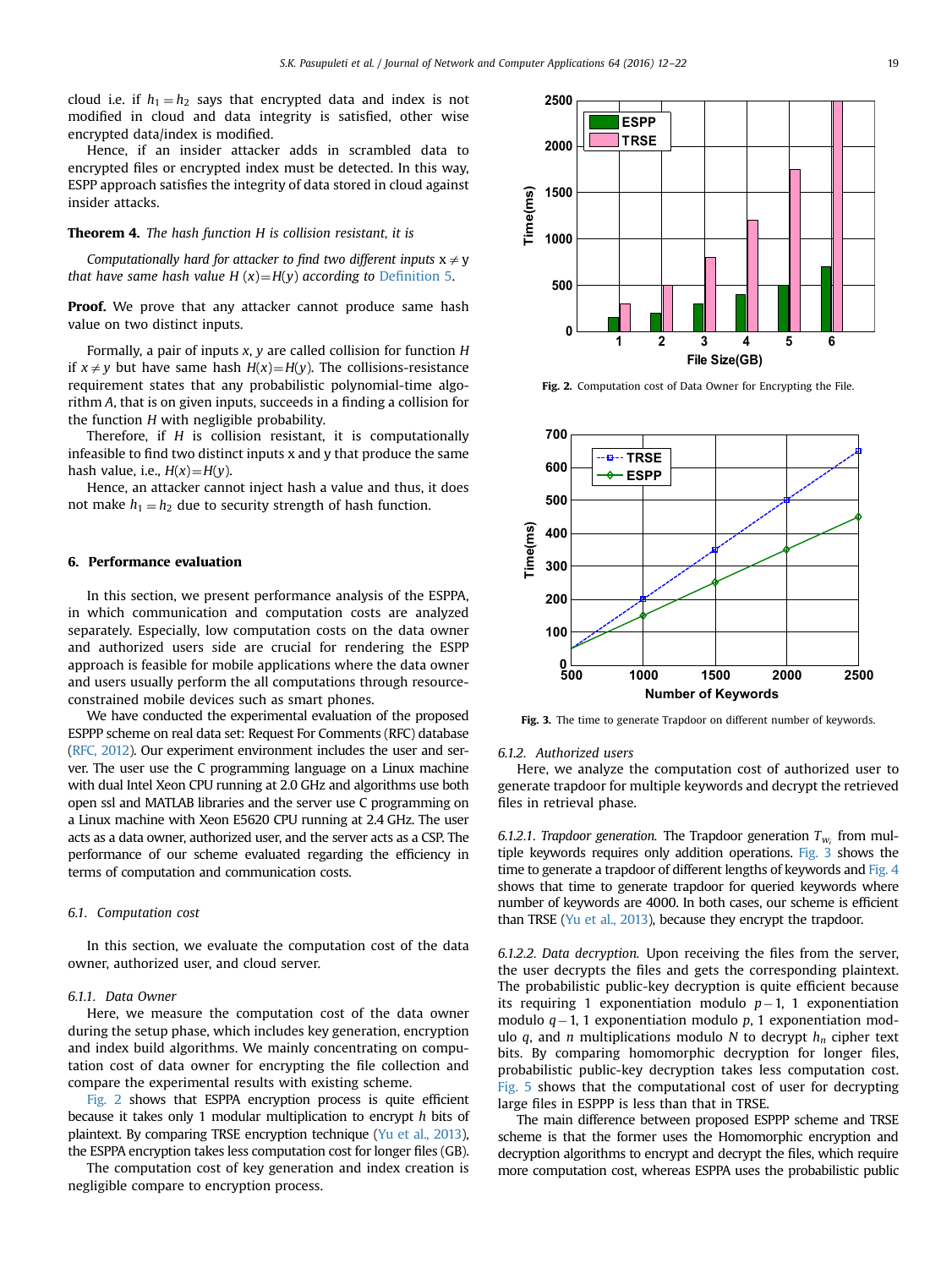<span id="page-7-0"></span>cloud i.e. if  $h_1 = h_2$  says that encrypted data and index is not modified in cloud and data integrity is satisfied, other wise encrypted data/index is modified.

Hence, if an insider attacker adds in scrambled data to encrypted files or encrypted index must be detected. In this way, ESPP approach satisfies the integrity of data stored in cloud against insider attacks.

# Theorem 4. The hash function H is collision resistant, it is

Computationally hard for attacker to find two different inputs  $x \neq y$ that have same hash value H  $(x) = H(y)$  according to Defi[nition 5.](#page-6-0)

Proof. We prove that any attacker cannot produce same hash value on two distinct inputs.

Formally, a pair of inputs  $x$ ,  $y$  are called collision for function  $H$ if  $x \neq y$  but have same hash  $H(x)=H(y)$ . The collisions-resistance requirement states that any probabilistic polynomial-time algorithm A, that is on given inputs, succeeds in a finding a collision for the function H with negligible probability.

Therefore, if H is collision resistant, it is computationally infeasible to find two distinct inputs x and y that produce the same hash value, i.e.,  $H(x) = H(y)$ .

Hence, an attacker cannot inject hash a value and thus, it does not make  $h_1 = h_2$  due to security strength of hash function.

### 6. Performance evaluation

In this section, we present performance analysis of the ESPPA, in which communication and computation costs are analyzed separately. Especially, low computation costs on the data owner and authorized users side are crucial for rendering the ESPP approach is feasible for mobile applications where the data owner and users usually perform the all computations through resourceconstrained mobile devices such as smart phones.

We have conducted the experimental evaluation of the proposed ESPPP scheme on real data set: Request For Comments (RFC) database [\(RFC, 2012\)](#page-10-0). Our experiment environment includes the user and server. The user use the C programming language on a Linux machine with dual Intel Xeon CPU running at 2.0 GHz and algorithms use both open ssl and MATLAB libraries and the server use C programming on a Linux machine with Xeon E5620 CPU running at 2.4 GHz. The user acts as a data owner, authorized user, and the server acts as a CSP. The performance of our scheme evaluated regarding the efficiency in terms of computation and communication costs.

### 6.1. Computation cost

In this section, we evaluate the computation cost of the data owner, authorized user, and cloud server.

### 6.1.1. Data Owner

Here, we measure the computation cost of the data owner during the setup phase, which includes key generation, encryption and index build algorithms. We mainly concentrating on computation cost of data owner for encrypting the file collection and compare the experimental results with existing scheme.

Fig. 2 shows that ESPPA encryption process is quite efficient because it takes only 1 modular multiplication to encrypt h bits of plaintext. By comparing TRSE encryption technique ([Yu et al., 2013\)](#page-10-0), the ESPPA encryption takes less computation cost for longer files (GB).

The computation cost of key generation and index creation is negligible compare to encryption process.



Fig. 2. Computation cost of Data Owner for Encrypting the File.



Fig. 3. The time to generate Trapdoor on different number of keywords.

## 6.1.2. Authorized users

Here, we analyze the computation cost of authorized user to generate trapdoor for multiple keywords and decrypt the retrieved files in retrieval phase.

6.1.2.1. Trapdoor generation. The Trapdoor generation  $T_{w_i}$  from multiple keywords requires only addition operations. Fig. 3 shows the time to generate a trapdoor of different lengths of keywords and [Fig. 4](#page-8-0) shows that time to generate trapdoor for queried keywords where number of keywords are 4000. In both cases, our scheme is efficient than TRSE [\(Yu et al., 2013\)](#page-10-0), because they encrypt the trapdoor.

6.1.2.2. Data decryption. Upon receiving the files from the server, the user decrypts the files and gets the corresponding plaintext. The probabilistic public-key decryption is quite efficient because its requiring 1 exponentiation modulo  $p-1$ , 1 exponentiation modulo  $q-1$ , 1 exponentiation modulo p, 1 exponentiation modulo q, and n multiplications modulo N to decrypt  $h_n$  cipher text bits. By comparing homomorphic decryption for longer files, probabilistic public-key decryption takes less computation cost. [Fig. 5](#page-8-0) shows that the computational cost of user for decrypting large files in ESPPP is less than that in TRSE.

The main difference between proposed ESPPP scheme and TRSE scheme is that the former uses the Homomorphic encryption and decryption algorithms to encrypt and decrypt the files, which require more computation cost, whereas ESPPA uses the probabilistic public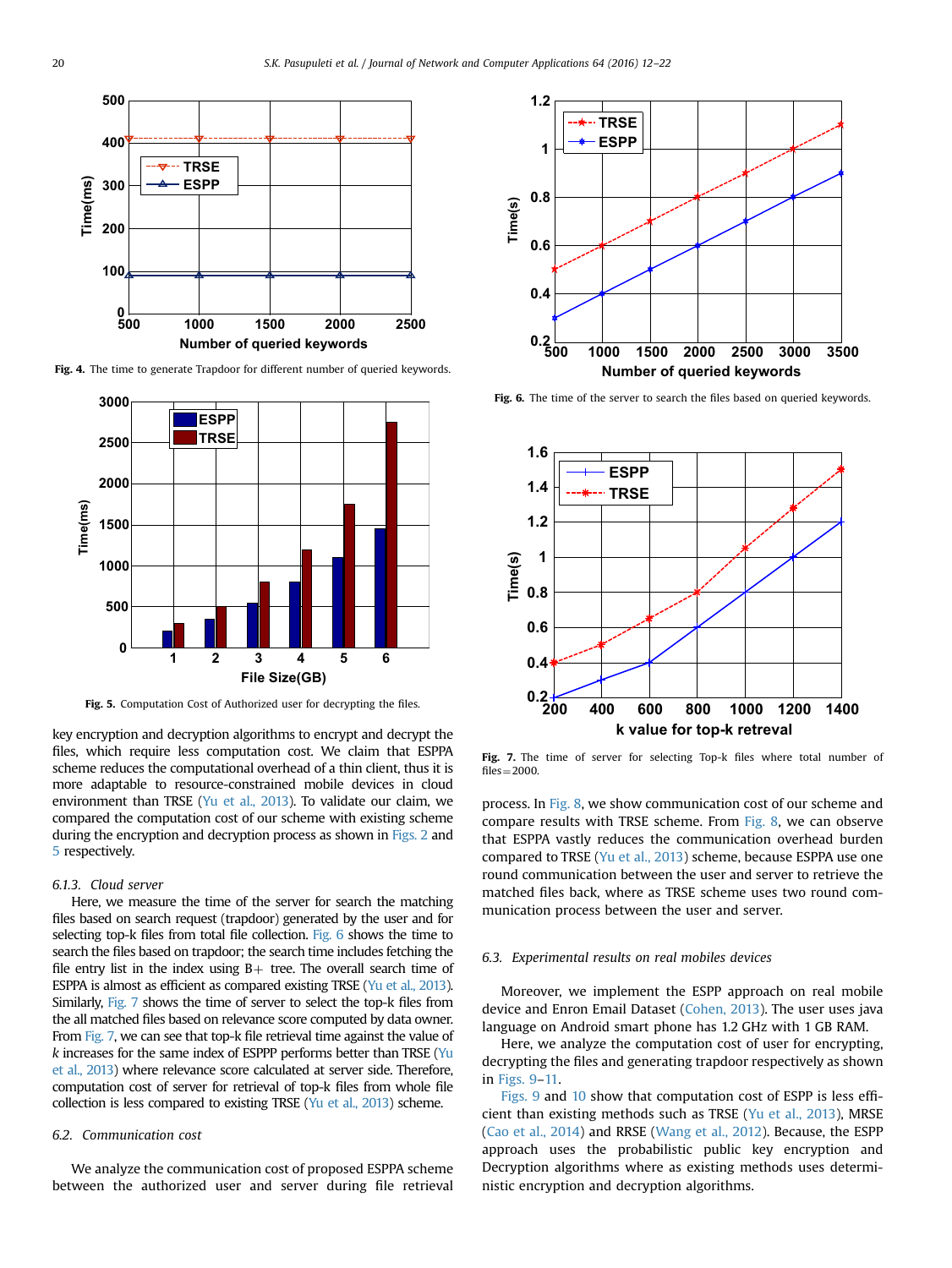<span id="page-8-0"></span>

Fig. 4. The time to generate Trapdoor for different number of queried keywords.



Fig. 5. Computation Cost of Authorized user for decrypting the files.

key encryption and decryption algorithms to encrypt and decrypt the files, which require less computation cost. We claim that ESPPA scheme reduces the computational overhead of a thin client, thus it is more adaptable to resource-constrained mobile devices in cloud environment than TRSE [\(Yu et al., 2013\)](#page-10-0). To validate our claim, we compared the computation cost of our scheme with existing scheme during the encryption and decryption process as shown in [Figs. 2](#page-7-0) and 5 respectively.

### 6.1.3. Cloud server

Here, we measure the time of the server for search the matching files based on search request (trapdoor) generated by the user and for selecting top-k files from total file collection. Fig. 6 shows the time to search the files based on trapdoor; the search time includes fetching the file entry list in the index using  $B+$  tree. The overall search time of ESPPA is almost as efficient as compared existing TRSE [\(Yu et al., 2013](#page-10-0)). Similarly, Fig. 7 shows the time of server to select the top-k files from the all matched files based on relevance score computed by data owner. From Fig. 7, we can see that top-k file retrieval time against the value of k increases for the same index of ESPPP performs better than TRSE [\(Yu](#page-10-0) [et al., 2013](#page-10-0)) where relevance score calculated at server side. Therefore, computation cost of server for retrieval of top-k files from whole file collection is less compared to existing TRSE [\(Yu et al., 2013](#page-10-0)) scheme.

### 6.2. Communication cost

We analyze the communication cost of proposed ESPPA scheme between the authorized user and server during file retrieval



Fig. 6. The time of the server to search the files based on queried keywords.



Fig. 7. The time of server for selecting Top-k files where total number of  $files = 2000$ 

process. In [Fig. 8,](#page-9-0) we show communication cost of our scheme and compare results with TRSE scheme. From [Fig. 8](#page-9-0), we can observe that ESPPA vastly reduces the communication overhead burden compared to TRSE [\(Yu et al., 2013\)](#page-10-0) scheme, because ESPPA use one round communication between the user and server to retrieve the matched files back, where as TRSE scheme uses two round communication process between the user and server.

### 6.3. Experimental results on real mobiles devices

Moreover, we implement the ESPP approach on real mobile device and Enron Email Dataset ([Cohen, 2013](#page-10-0)). The user uses java language on Android smart phone has 1.2 GHz with 1 GB RAM.

Here, we analyze the computation cost of user for encrypting, decrypting the files and generating trapdoor respectively as shown in [Figs. 9](#page-9-0)–[11](#page-9-0).

[Figs. 9](#page-9-0) and [10](#page-9-0) show that computation cost of ESPP is less efficient than existing methods such as TRSE [\(Yu et al., 2013](#page-10-0)), MRSE ([Cao et al., 2014\)](#page-10-0) and RRSE [\(Wang et al., 2012\)](#page-10-0). Because, the ESPP approach uses the probabilistic public key encryption and Decryption algorithms where as existing methods uses deterministic encryption and decryption algorithms.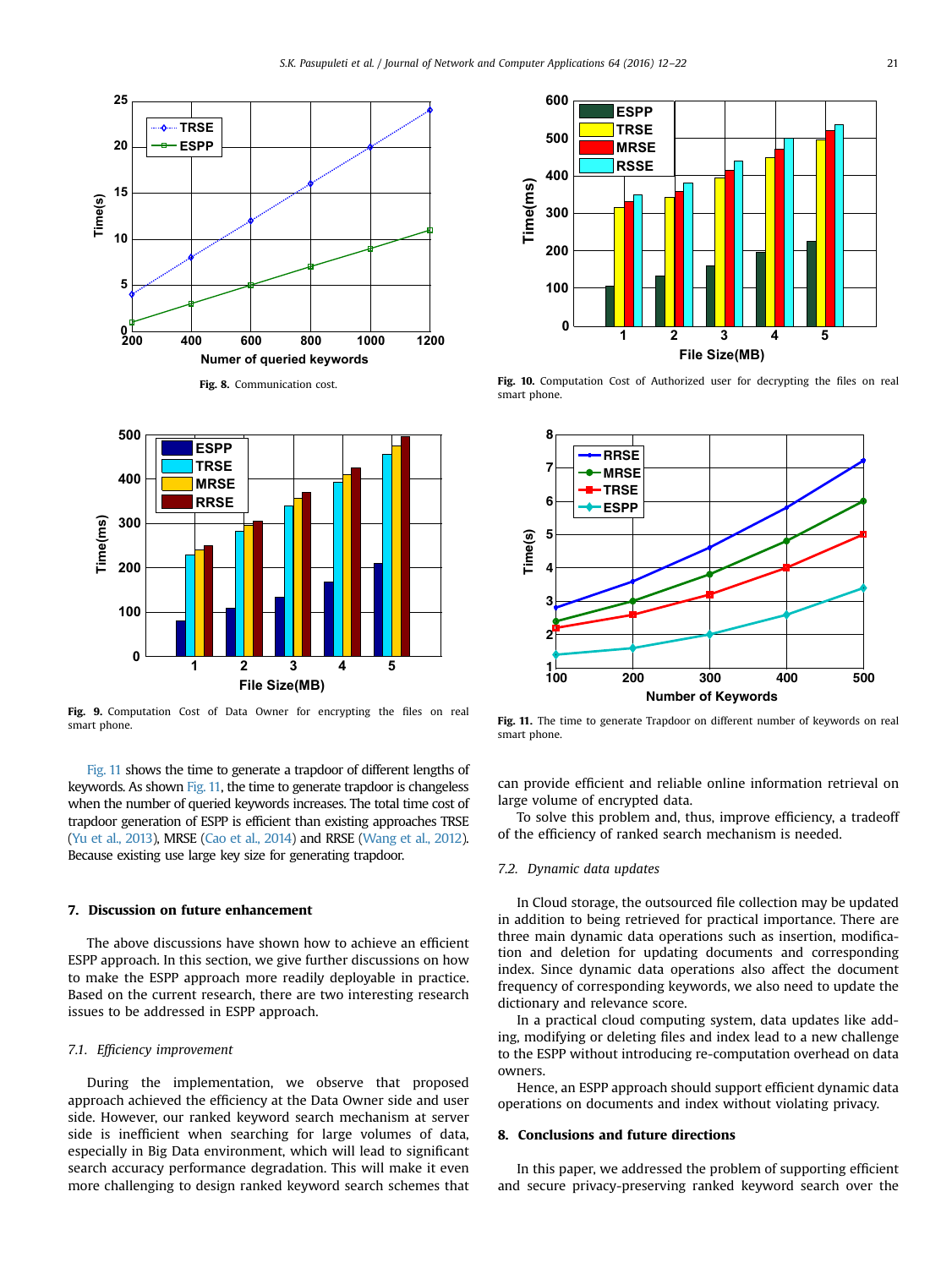<span id="page-9-0"></span>



Fig. 9. Computation Cost of Data Owner for encrypting the files on real smart phone.

Fig. 11 shows the time to generate a trapdoor of different lengths of keywords. As shown Fig. 11, the time to generate trapdoor is changeless when the number of queried keywords increases. The total time cost of trapdoor generation of ESPP is efficient than existing approaches TRSE [\(Yu et al., 2013](#page-10-0)), MRSE [\(Cao et al., 2014](#page-10-0)) and RRSE [\(Wang et al., 2012\)](#page-10-0). Because existing use large key size for generating trapdoor.

# 7. Discussion on future enhancement

The above discussions have shown how to achieve an efficient ESPP approach. In this section, we give further discussions on how to make the ESPP approach more readily deployable in practice. Based on the current research, there are two interesting research issues to be addressed in ESPP approach.

# 7.1. Efficiency improvement

During the implementation, we observe that proposed approach achieved the efficiency at the Data Owner side and user side. However, our ranked keyword search mechanism at server side is inefficient when searching for large volumes of data, especially in Big Data environment, which will lead to significant search accuracy performance degradation. This will make it even more challenging to design ranked keyword search schemes that



Fig. 10. Computation Cost of Authorized user for decrypting the files on real smart phone.



Fig. 11. The time to generate Trapdoor on different number of keywords on real smart phone.

can provide efficient and reliable online information retrieval on large volume of encrypted data.

To solve this problem and, thus, improve efficiency, a tradeoff of the efficiency of ranked search mechanism is needed.

### 7.2. Dynamic data updates

In Cloud storage, the outsourced file collection may be updated in addition to being retrieved for practical importance. There are three main dynamic data operations such as insertion, modification and deletion for updating documents and corresponding index. Since dynamic data operations also affect the document frequency of corresponding keywords, we also need to update the dictionary and relevance score.

In a practical cloud computing system, data updates like adding, modifying or deleting files and index lead to a new challenge to the ESPP without introducing re-computation overhead on data owners.

Hence, an ESPP approach should support efficient dynamic data operations on documents and index without violating privacy.

### 8. Conclusions and future directions

In this paper, we addressed the problem of supporting efficient and secure privacy-preserving ranked keyword search over the